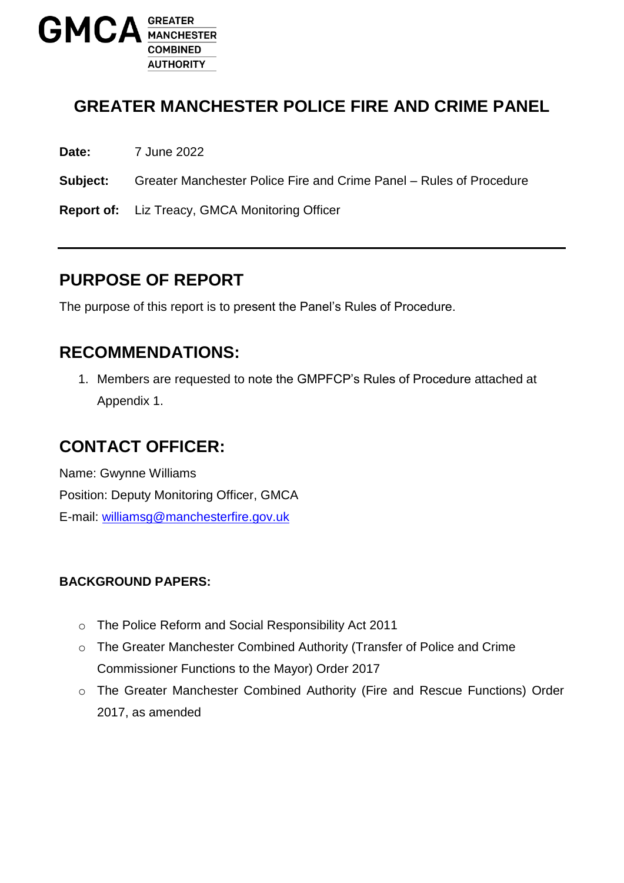

### **GREATER MANCHESTER POLICE FIRE AND CRIME PANEL**

**Date:** 7 June 2022

**Subject:** Greater Manchester Police Fire and Crime Panel – Rules of Procedure

**Report of:** Liz Treacy, GMCA Monitoring Officer

### **PURPOSE OF REPORT**

The purpose of this report is to present the Panel's Rules of Procedure.

### **RECOMMENDATIONS:**

1. Members are requested to note the GMPFCP's Rules of Procedure attached at Appendix 1.

### **CONTACT OFFICER:**

Name: Gwynne Williams Position: Deputy Monitoring Officer, GMCA E-mail: [williamsg@manchesterfire.gov.uk](mailto:williamsg@manchesterfire.gov.uk)

#### **BACKGROUND PAPERS:**

- o The Police Reform and Social Responsibility Act 2011
- o The Greater Manchester Combined Authority (Transfer of Police and Crime Commissioner Functions to the Mayor) Order 2017
- o The Greater Manchester Combined Authority (Fire and Rescue Functions) Order 2017, as amended